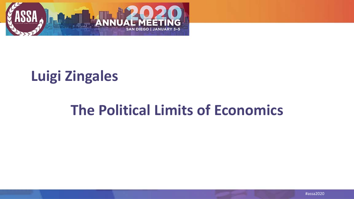

### **Luigi Zingales**

#### **The Political Limits of Economics**

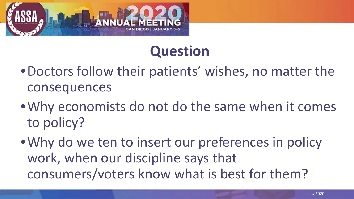

## **Question**

- •Doctors follow their patients' wishes, no matter the consequences
- •Why economists do not do the same when it comes to policy?
- •Why do we ten to insert our preferences in policy work, when our discipline says that consumers/voters know what is best for them?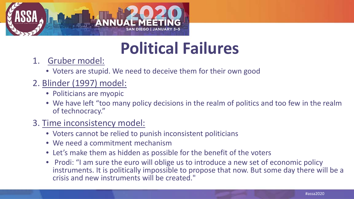

## **Political Failures**

- 1. Gruber model:
	- Voters are stupid. We need to deceive them for their own good
- 2. Blinder (1997) model:
	- Politicians are myopic
	- We have left "too many policy decisions in the realm of politics and too few in the realm of technocracy."
- 3. Time inconsistency model:
	- Voters cannot be relied to punish inconsistent politicians
	- We need a commitment mechanism
	- Let's make them as hidden as possible for the benefit of the voters
	- Prodi: "I am sure the euro will oblige us to introduce a new set of economic policy instruments. It is politically impossible to propose that now. But some day there will be a crisis and new instruments will be created."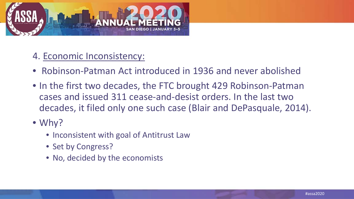

#### 4. Economic Inconsistency:

- Robinson-Patman Act introduced in 1936 and never abolished
- In the first two decades, the FTC brought 429 Robinson-Patman cases and issued 311 cease-and-desist orders. In the last two decades, it filed only one such case (Blair and DePasquale, 2014).
- Why?
	- Inconsistent with goal of Antitrust Law
	- Set by Congress?
	- No, decided by the economists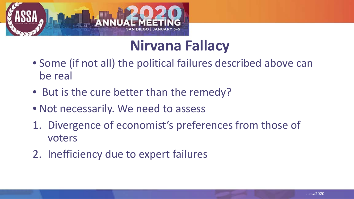

### **Nirvana Fallacy**

- Some (if not all) the political failures described above can be real
- But is the cure better than the remedy?
- Not necessarily. We need to assess
- 1. Divergence of economist's preferences from those of voters
- 2. Inefficiency due to expert failures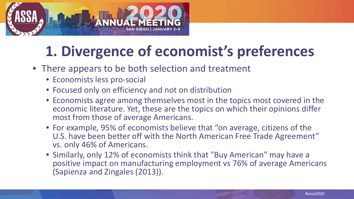

## **1. Divergence of economist's preferences**

- There appears to be both selection and treatment
	- Economists less pro-social
	- Focused only on efficiency and not on distribution
	- Economists agree among themselves most in the topics most covered in the economic literature. Yet, these are the topics on which their opinions differ most from those of average Americans.
	- For example, 95% of economists believe that "on average, citizens of the U.S. have been better off with the North American Free Trade Agreement" vs. only 46% of Americans.
	- Similarly, only 12% of economists think that "Buy American" may have a positive impact on manufacturing employment vs 76% of average Americans (Sapienza and Zingales (2013)).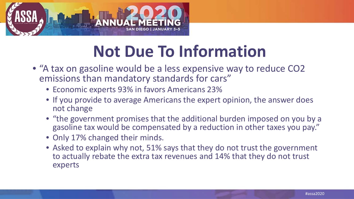

# **Not Due To Information**

- "A tax on gasoline would be a less expensive way to reduce CO2 emissions than mandatory standards for cars"
	- Economic experts 93% in favors Americans 23%
	- If you provide to average Americans the expert opinion, the answer does not change
	- "the government promises that the additional burden imposed on you by a gasoline tax would be compensated by a reduction in other taxes you pay."
	- Only 17% changed their minds.
	- Asked to explain why not, 51% says that they do not trust the government to actually rebate the extra tax revenues and 14% that they do not trust experts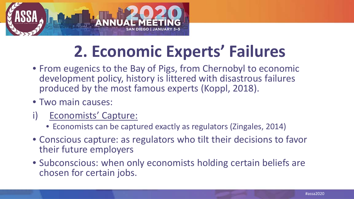

# **2. Economic Experts' Failures**

- From eugenics to the Bay of Pigs, from Chernobyl to economic development policy, history is littered with disastrous failures produced by the most famous experts (Koppl, 2018).
- Two main causes:
- Economists' Capture:
	- Economists can be captured exactly as regulators (Zingales, 2014)
- Conscious capture: as regulators who tilt their decisions to favor their future employers
- Subconscious: when only economists holding certain beliefs are chosen for certain jobs.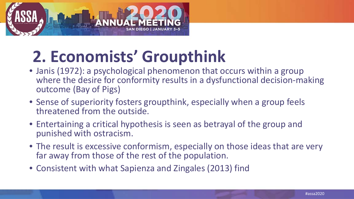

# **2. Economists' Groupthink**

- Janis (1972): a psychological phenomenon that occurs within a group where the desire for conformity results in a dysfunctional decision-making outcome (Bay of Pigs)
- Sense of superiority fosters groupthink, especially when a group feels threatened from the outside.
- Entertaining a critical hypothesis is seen as betrayal of the group and punished with ostracism.
- The result is excessive conformism, especially on those ideas that are very far away from those of the rest of the population.
- Consistent with what Sapienza and Zingales (2013) find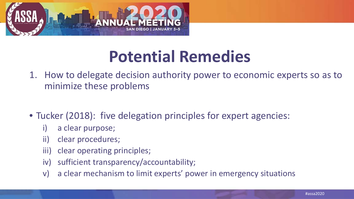

## **Potential Remedies**

- 1. How to delegate decision authority power to economic experts so as to minimize these problems
- Tucker (2018): five delegation principles for expert agencies:
	- i) a clear purpose;
	- ii) clear procedures;
	- iii) clear operating principles;
	- iv) sufficient transparency/accountability;
	- v) a clear mechanism to limit experts' power in emergency situations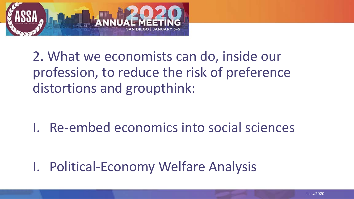

2. What we economists can do, inside our profession, to reduce the risk of preference distortions and groupthink:

I. Re-embed economics into social sciences

I. Political-Economy Welfare Analysis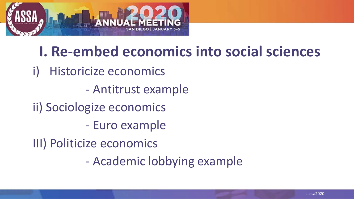

#### **I. Re-embed economics into social sciences**

- i) Historicize economics
	- Antitrust example
- ii) Sociologize economics
	- Euro example
- III) Politicize economics
	- Academic lobbying example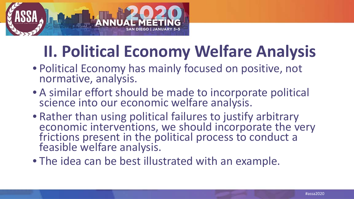

# **II. Political Economy Welfare Analysis**

- Political Economy has mainly focused on positive, not normative, analysis.
- A similar effort should be made to incorporate political science into our economic welfare analysis.
- Rather than using political failures to justify arbitrary<br>economic interventions, we should incorporate the very economic interventions, we should incorporate the very frictions present in the political process to conduct a feasible welfare analysis.
- The idea can be best illustrated with an example.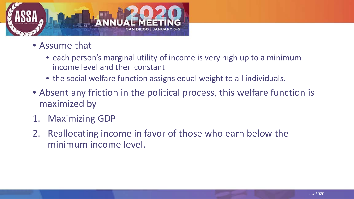

- Assume that
	- each person's marginal utility of income is very high up to a minimum income level and then constant
	- the social welfare function assigns equal weight to all individuals.
- Absent any friction in the political process, this welfare function is maximized by
- 1. Maximizing GDP
- 2. Reallocating income in favor of those who earn below the minimum income level.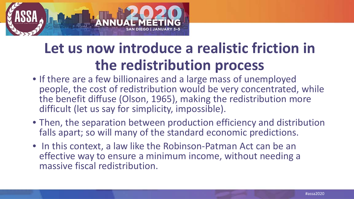

## **Let us now introduce a realistic friction in the redistribution process**

- If there are a few billionaires and a large mass of unemployed people, the cost of redistribution would be very concentrated, while the benefit diffuse (Olson, 1965), making the redistribution more difficult (let us say for simplicity, impossible).
- Then, the separation between production efficiency and distribution falls apart; so will many of the standard economic predictions.
- In this context, a law like the Robinson-Patman Act can be an effective way to ensure a minimum income, without needing a massive fiscal redistribution.